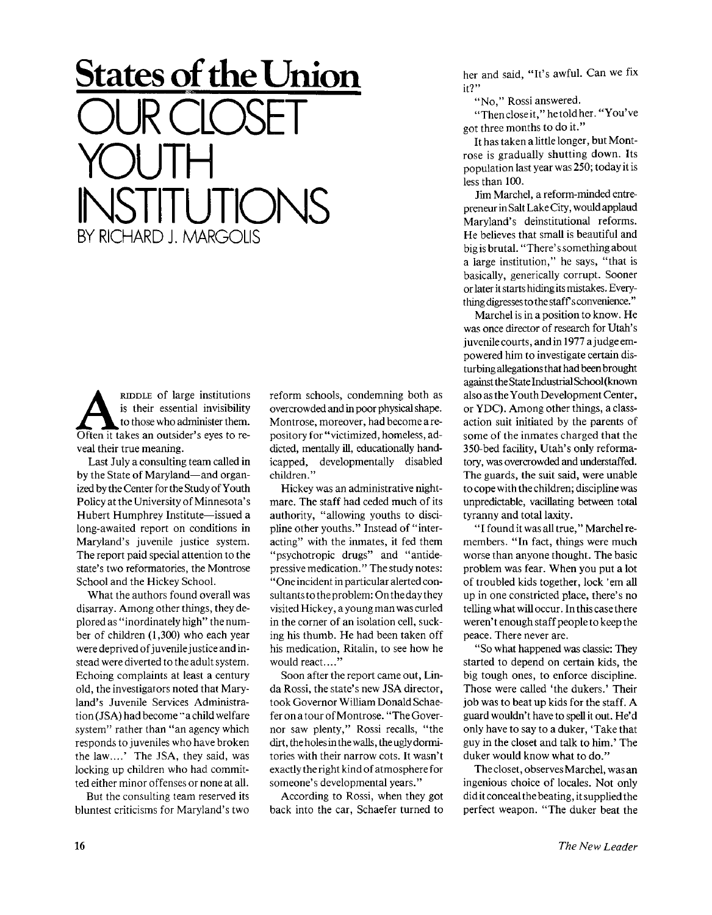## **States of the Union**  OUR CLOSET YOUTH INSTITUTIONS BY RICHARD J. MARGOLIS

**ALCONGENT AND AND AND APPLE OF Large institutions**<br>
often it takes an outsider's eyes to re-RIDDLE of large institutions is their essential invisibility to those who administer them. veal their true meaning.

Last July a consulting team called in by the State of Maryland—and organized by the Center for the Study of Youth Policy at the University of Minnesota's Hubert Humphrey Institute—issued a long-awaited report on conditions in Maryland's juvenile justice system. The report paid special attention to the state's two reformatories, the Montrose School and the Hickey School.

What the authors found overall was disarray. Among other things, they deplored as "inordinately high" the number of children (1,300) who each year were deprived of juvenile justice and instead were diverted to the adult system. Echoing complaints at least a century old, the investigators noted that Maryland's Juvenile Services Administration (JSA) had become "a child welfare system" rather than "an agency which responds to juveniles who have broken the law....' The JSA, they said, was locking up children who had committed either minor offenses or none at all.

But the consulting team reserved its bluntest criticisms for Maryland's two

reform schools, condemning both as overcrowded and in poor physical shape. Montrose, moreover, had become a repository for "victimized, homeless, addicted, mentally ill, educationally handicapped, developmentally disabled children."

Hickey was an administrative nightmare. The staff had ceded much of its authority, "allowing youths to discipline other youths." Instead of "interacting" with the inmates, it fed them "psychotropic drugs" and "antidepressive medication. " The study notes: " One incident in particular alerted consultants to the problem: On the day they visited Hickey, a young man was curled in the corner of an isolation cell, sucking his thumb. He had been taken off his medication, Ritalin, to see how he would react...."

Soon after the report came out, Linda Rossi, the state's new JSA director, took Governor William Donald Schaefer on a tour of Montrose. "The Governor saw plenty," Rossi recalls, "the dirt, the holes in the walls, the ugly dormitories with their narrow cots. It wasn't exactly the right kind of atmosphere for someone's developmental years."

According to Rossi, when they got back into the car, Schaefer turned to her and said, "It's awful. Can we fix it?"

"No," Rossi answered.

" Then close it," he told her." You've got three months to do it."

It has taken a little longer, but Montrose is gradually shutting down. Its population last year was 250; today it is less than 100.

Jim Marchel, a reform-minded entrepreneur in Salt Lake City, would applaud Maryland's deinstitutional reforms. He believes that small is beautiful and big is brutal. "There's something about a large institution," he says, "that is basically, generically corrupt. Sooner or later it starts hidingits mistakes. Everything digresses to the staff's convenience."

Marchel is in a position to know. He was once director of research for Utah's juvenile courts, and in 1977 a judge empowered him to investigate certain disturbing allegations that had been brought against the State Industrial School (known also as the Youth Development Center, or YDC). Among other things, a classaction suit initiated by the parents of some of the inmates charged that the 350-bed facility, Utah's only reformatory, was overcrowded and understaffed. The guards, the suit said, were unable to cope with the children; discipline was unpredictable, vacillating between total tyranny and total laxity.

"I found it was all true," Marchel remembers. "In fact, things were much worse than anyone thought. The basic problem was fear. When you put a lot of troubled kids together, lock 'em all up in one constricted place, there's no telling what will occur. In this case there weren't enough staff people to keep the peace. There never are.

"So what happened was classic: They started to depend on certain kids, the big tough ones, to enforce discipline. Those were called 'the dukers.' Their job was to beat up kids for the staff. A guard wouldn't have to spell it out. He'd only have to say to a duker, 'Take that guy in the closet and talk to him.' The duker would know what to do."

The closet, observes Marchel, was an ingenious choice of locales. Not only did it conceal the beating, it supplied the perfect weapon. "The duker beat the